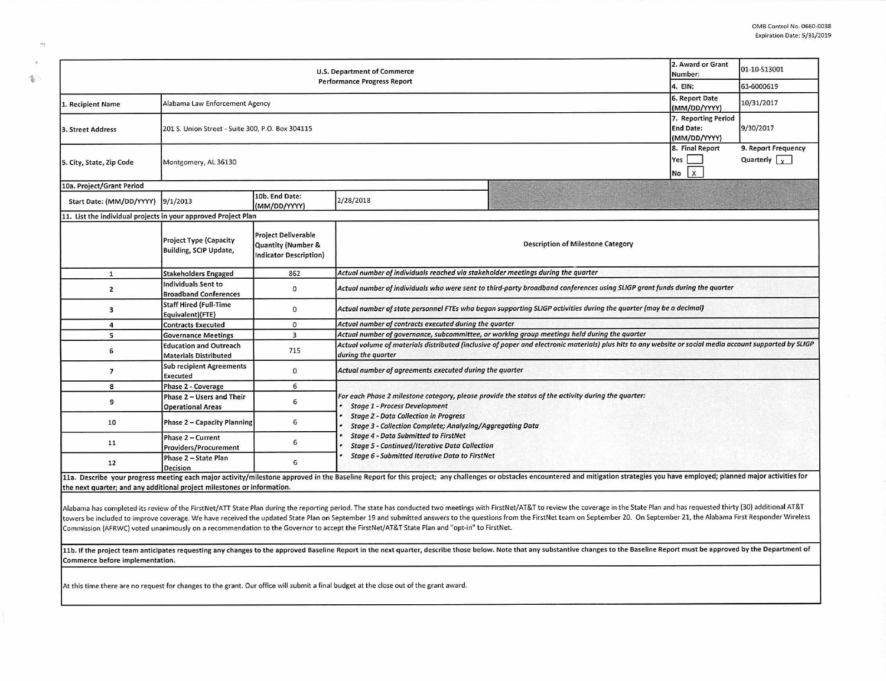| <b>U.S. Department of Commerce</b>                                      |                                                               |                                                                            |                                                                                                                                                                                                                                |                                                         | 2. Award or Grant<br>Number:                    | 01-10-S13001                                |  |  |
|-------------------------------------------------------------------------|---------------------------------------------------------------|----------------------------------------------------------------------------|--------------------------------------------------------------------------------------------------------------------------------------------------------------------------------------------------------------------------------|---------------------------------------------------------|-------------------------------------------------|---------------------------------------------|--|--|
| <b>Performance Progress Report</b><br>4. EIN:                           |                                                               |                                                                            |                                                                                                                                                                                                                                |                                                         |                                                 | 63-6000619                                  |  |  |
| 1. Recipient Name                                                       | Alabama Law Enforcement Agency                                |                                                                            |                                                                                                                                                                                                                                | 6. Report Date<br>(MM/DD/YYYY)                          | 10/31/2017                                      |                                             |  |  |
| 201 S. Union Street - Suite 300, P.O. Box 304115<br>3. Street Address   |                                                               |                                                                            |                                                                                                                                                                                                                                | 7. Reporting Period<br><b>End Date:</b><br>(MM/DD/YYYY) | 9/30/2017                                       |                                             |  |  |
| 5. City, State, Zip Code                                                | Montgomery, AL 36130                                          |                                                                            |                                                                                                                                                                                                                                |                                                         | 8. Final Report<br>Yes  <br>$\mathbf{x}$<br>No. | 9. Report Frequency<br>Quarterly $\sqrt{x}$ |  |  |
| 10a. Project/Grant Period                                               |                                                               |                                                                            |                                                                                                                                                                                                                                |                                                         |                                                 |                                             |  |  |
| Start Date: (MM/DD/YYYY)                                                | 9/1/2013                                                      | 10b. End Date:<br>(MM/DD/YYYY)                                             | 2/28/2018                                                                                                                                                                                                                      |                                                         |                                                 |                                             |  |  |
| 11. List the individual projects in your approved Project Plan          |                                                               |                                                                            |                                                                                                                                                                                                                                |                                                         |                                                 |                                             |  |  |
|                                                                         | <b>Project Type (Capacity</b><br>Building, SCIP Update,       | <b>Project Deliverable</b><br>Quantity (Number &<br>Indicator Description) |                                                                                                                                                                                                                                | <b>Description of Milestone Category</b>                |                                                 |                                             |  |  |
| $\mathbf{1}$                                                            | <b>Stakeholders Engaged</b>                                   | 862                                                                        | Actual number of individuals reached via stakeholder meetings during the quarter                                                                                                                                               |                                                         |                                                 |                                             |  |  |
| $\overline{2}$                                                          | Individuals Sent to<br><b>Broadband Conferences</b>           | 0                                                                          | Actual number of individuals who were sent to third-party broadband conferences using SLIGP grant funds during the quarter                                                                                                     |                                                         |                                                 |                                             |  |  |
| 3                                                                       | <b>Staff Hired (Full-Time</b><br>Equivalent)(FTE)             | $\mathbf{0}$                                                               | Actual number of state personnel FTEs who began supporting SLIGP activities during the quarter (may be a decimal)                                                                                                              |                                                         |                                                 |                                             |  |  |
| $\overline{4}$                                                          | <b>Contracts Executed</b>                                     | $\mathbf{0}$                                                               | Actual number of contracts executed during the quarter                                                                                                                                                                         |                                                         |                                                 |                                             |  |  |
| 5                                                                       | <b>Governance Meetings</b>                                    | $\overline{\mathbf{3}}$                                                    | Actual number of governance, subcommittee, or working group meetings held during the quarter                                                                                                                                   |                                                         |                                                 |                                             |  |  |
| 6                                                                       | <b>Education and Outreach</b><br><b>Materials Distributed</b> | 715                                                                        | Actual volume of materials distributed (inclusive of paper and electronic materials) plus hits to any website or social media account supported by SLIGP<br>during the quarter                                                 |                                                         |                                                 |                                             |  |  |
| $\overline{7}$                                                          | <b>Sub recipient Agreements</b><br><b>Executed</b>            | $\mathbf{0}$                                                               | Actual number of agreements executed during the quarter                                                                                                                                                                        |                                                         |                                                 |                                             |  |  |
| 8                                                                       | <b>Phase 2 - Coverage</b>                                     | 6                                                                          |                                                                                                                                                                                                                                |                                                         |                                                 |                                             |  |  |
| 9                                                                       | Phase 2 - Users and Their<br><b>Operational Areas</b>         | 6                                                                          | For each Phase 2 milestone category, please provide the status of the activity during the quarter:<br><b>Stage 1 - Process Development</b>                                                                                     |                                                         |                                                 |                                             |  |  |
| 10                                                                      | Phase 2 - Capacity Planning                                   | 6                                                                          | <b>Stage 2 - Data Collection in Progress</b><br>Stage 3 - Collection Complete; Analyzing/Aggregating Data                                                                                                                      |                                                         |                                                 |                                             |  |  |
| 11                                                                      | Phase 2 - Current<br><b>Providers/Procurement</b>             | 6                                                                          | <b>Stage 4 - Data Submitted to FirstNet</b><br><b>Stage 5 - Continued/Iterative Data Collection</b><br>Stage 6 - Submitted Iterative Data to FirstNet                                                                          |                                                         |                                                 |                                             |  |  |
| 12                                                                      | Phase 2 - State Plan<br><b>Decision</b>                       | 6                                                                          |                                                                                                                                                                                                                                |                                                         |                                                 |                                             |  |  |
| the next quarter; and any additional project milestones or information. |                                                               |                                                                            | 11a. Describe your progress meeting each major activity/milestone approved in the Baseline Report for this project; any challenges or obstacles encountered and mitigation strategies you have employed; planned major activit |                                                         |                                                 |                                             |  |  |

Alabama has completed its review of the FirstNet/ATT State Plan during the reporting period. The state has conducted two meetings with FirstNet/AT&T to review the coverage in the State Plan and has requested thirty (30) ad towers be included to improve coverage. We have received the updated State Plan on September 19 and submitted answers to the questions from the FirstNet team on September 20. On September 21, the Alabama First Responder Wi Commission (AFRWC) voted unanimously on a recommendation to the Governor to accept the FirstNet/AT&T State Plan and "opt-in" to FirstNet.

11b. If the project team anticipates requesting any changes to the approved Baseline Report in the next quarter, describe those below. Note that any substantive changes to the Baseline Report must be approved by the Depart Commerce before implementation.

At this time there are no request for changes to the grant. Our office will submit a final budget at the close out of the grant award.

i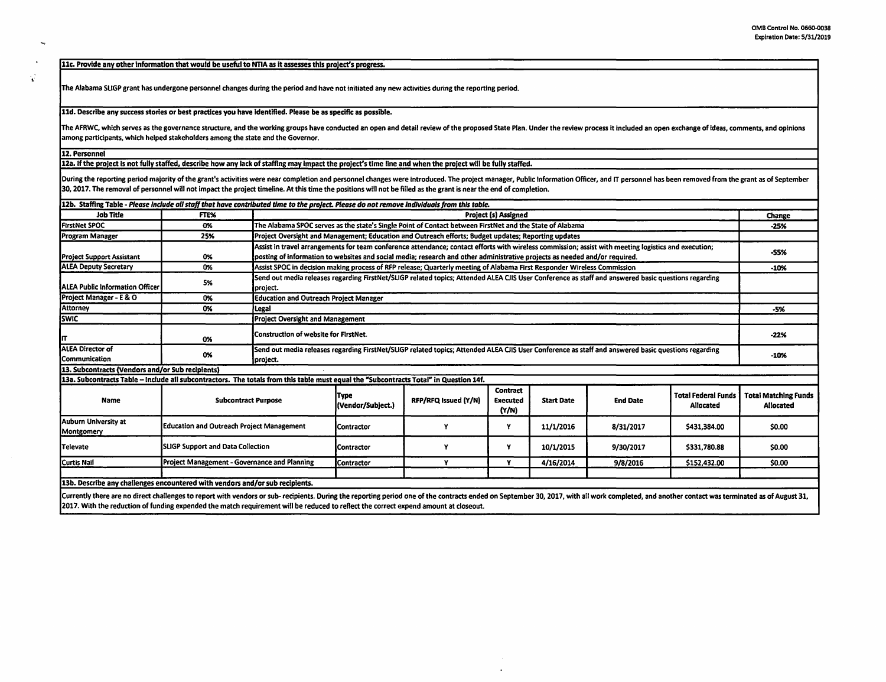11c. Provide any other information that would be useful to NTIA as It assesses this project's progress.

The Alabama SUGP grant has undergone personnel changes during the period and have not initiated any new activities during the reporting period.

11d. Describe any success stories or best practices you have identified. Please be as specific as possible.

The AFRWC, which serves as the governance structure, and the working groups have conducted an open and detail review of the proposed State Plan. Under the review process it included an open exchange of ideas, comments, and among participants, which helped stakeholders among the state and the Governor.

12. Personnel

 $\ddot{\phantom{0}}$ 

 $\mathbf{v}^{\prime}$ 

12a. If the pro)ect Is not fully staffed, describe how any lack of staffing may Impact the project's time line and when the project will be fully staffed.

During the reporting period majority of the grant's activities were near completion and personnel changes were introduced. The project manager, Public Information Officer, and IT personnel has been removed from the grant a 30, 2017. The removal of personnel will not impact the project timeline. At this time the positions will not be filled as the grant is near the end of completion.

| .12b.  Staffing Table - Please include all staff that have contributed time to the project. Please do not remove individuals from this table.                                                                                  |                                              |                                                                                                                                                                  |                                                                                                                                                     |                                                                                                          |                                      |                   |                 |                                         |                                          |
|--------------------------------------------------------------------------------------------------------------------------------------------------------------------------------------------------------------------------------|----------------------------------------------|------------------------------------------------------------------------------------------------------------------------------------------------------------------|-----------------------------------------------------------------------------------------------------------------------------------------------------|----------------------------------------------------------------------------------------------------------|--------------------------------------|-------------------|-----------------|-----------------------------------------|------------------------------------------|
| <b>Job Title</b>                                                                                                                                                                                                               | FTE%                                         |                                                                                                                                                                  | <b>Project (s) Assigned</b>                                                                                                                         |                                                                                                          |                                      |                   |                 |                                         | Change                                   |
| <b>FirstNet SPOC</b>                                                                                                                                                                                                           | 0%                                           |                                                                                                                                                                  |                                                                                                                                                     | The Alabama SPOC serves as the state's Single Point of Contact between FirstNet and the State of Alabama |                                      |                   |                 |                                         | $-25%$                                   |
| Program Manager                                                                                                                                                                                                                | 25%                                          |                                                                                                                                                                  | Project Oversight and Management; Education and Outreach efforts; Budget updates; Reporting updates                                                 |                                                                                                          |                                      |                   |                 |                                         |                                          |
|                                                                                                                                                                                                                                |                                              | Assist in travel arrangements for team conference attendance; contact efforts with wireless commission; assist with meeting logistics and execution;             |                                                                                                                                                     |                                                                                                          |                                      |                   |                 |                                         |                                          |
| <b>Project Support Assistant</b>                                                                                                                                                                                               | 0%                                           |                                                                                                                                                                  | posting of information to websites and social media; research and other administrative projects as needed and/or required.                          |                                                                                                          |                                      |                   |                 |                                         | -55%                                     |
| <b>ALEA Deputy Secretary</b>                                                                                                                                                                                                   | 0%                                           |                                                                                                                                                                  | Assist SPOC in decision making process of RFP release; Quarterly meeting of Alabama First Responder Wireless Commission                             |                                                                                                          |                                      |                   |                 | $-10%$                                  |                                          |
| <b>IALEA Public Information Officer</b>                                                                                                                                                                                        | 5%                                           | project.                                                                                                                                                         | Send out media releases regarding FirstNet/SLIGP related topics; Attended ALEA CJIS User Conference as staff and answered basic questions regarding |                                                                                                          |                                      |                   |                 |                                         |                                          |
| Project Manager - E & O                                                                                                                                                                                                        | 0%                                           | <b>Education and Outreach Project Manager</b>                                                                                                                    |                                                                                                                                                     |                                                                                                          |                                      |                   |                 |                                         |                                          |
| Attorney                                                                                                                                                                                                                       | 0%                                           | l Legal                                                                                                                                                          |                                                                                                                                                     |                                                                                                          |                                      |                   |                 |                                         | -5%                                      |
| <b>SWIC</b>                                                                                                                                                                                                                    |                                              |                                                                                                                                                                  | <b>Project Oversight and Management</b>                                                                                                             |                                                                                                          |                                      |                   |                 |                                         |                                          |
| Iπ                                                                                                                                                                                                                             | 0%                                           |                                                                                                                                                                  | Construction of website for FirstNet.                                                                                                               |                                                                                                          |                                      |                   |                 | $-22%$                                  |                                          |
| <b>ALEA Director of</b><br>Communication                                                                                                                                                                                       | 0%                                           | Send out media releases regarding FirstNet/SLIGP related topics; Attended ALEA CJIS User Conference as staff and answered basic questions regarding<br> project. |                                                                                                                                                     |                                                                                                          |                                      |                   |                 | $-10%$                                  |                                          |
| 13. Subcontracts (Vendors and/or Sub recipients)                                                                                                                                                                               |                                              |                                                                                                                                                                  |                                                                                                                                                     |                                                                                                          |                                      |                   |                 |                                         |                                          |
| 13a. Subcontracts Table -- Include all subcontractors. The totals from this table must equal the "Subcontracts Total" in Question 14f.                                                                                         |                                              |                                                                                                                                                                  |                                                                                                                                                     |                                                                                                          |                                      |                   |                 |                                         |                                          |
| Name                                                                                                                                                                                                                           | <b>Subcontract Purpose</b>                   |                                                                                                                                                                  | Type<br>(Vendor/Subject.)                                                                                                                           | RFP/RFQ Issued (Y/N)                                                                                     | Contract<br><b>Executed</b><br>(Y/N) | <b>Start Date</b> | <b>End Date</b> | <b>Total Federal Funds</b><br>Allocated | Total Matching Funds<br><b>Allocated</b> |
| <b>Auburn University at</b><br>Montgomery                                                                                                                                                                                      | Education and Outreach Project Management    |                                                                                                                                                                  | Contractor                                                                                                                                          |                                                                                                          | Y                                    | 11/1/2016         | 8/31/2017       | \$431,384.00                            | \$0.00                                   |
| <b>Televate</b>                                                                                                                                                                                                                | <b>SLIGP Support and Data Collection</b>     |                                                                                                                                                                  | Contractor                                                                                                                                          |                                                                                                          | Y                                    | 10/1/2015         | 9/30/2017       | \$331,780.88                            | \$0.00                                   |
| Curtis Nail                                                                                                                                                                                                                    | Project Management - Governance and Planning |                                                                                                                                                                  | Contractor                                                                                                                                          | Y                                                                                                        | Y                                    | 4/16/2014         | 9/8/2016        | \$152,432.00                            | \$0.00                                   |
|                                                                                                                                                                                                                                |                                              |                                                                                                                                                                  |                                                                                                                                                     |                                                                                                          |                                      |                   |                 |                                         |                                          |
| 13b. Describe any challenges encountered with vendors and/or sub recipients.                                                                                                                                                   |                                              |                                                                                                                                                                  |                                                                                                                                                     |                                                                                                          |                                      |                   |                 |                                         |                                          |
| Commitmentary of the district of the contract of the contract of the contract of the commission of the Constitution A49 with constitution of the contract of the constitution of the constitution of the constitution of the c |                                              |                                                                                                                                                                  |                                                                                                                                                     |                                                                                                          |                                      |                   |                 |                                         |                                          |

[Currently there are no direct challenges to report with vendors or sub- recipients. During the reporting period one of the contracts ended on September 30, 2017, with all work completed, and another contact was terminated 2017. With the reduction of funding expended the match requirement will be reduced to reflect the correct expend amount at closeout.